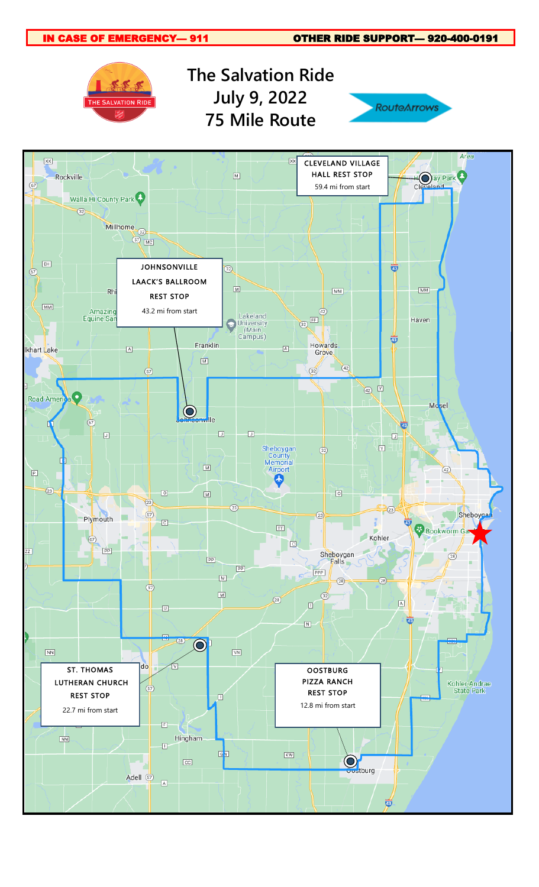IN CASE OF EMERGENCY— 911 OTHER RIDE SUPPORT— 920-400-0191 **The Salvation Ride July 9, 2022** THE SALVATION RIDE **RouteArrows 75 Mile Route** Area  $\overline{XX}$  $\overline{xx}$ CLEVELAND VILLAGE HOay Park  $\boxed{\mathbb{M}}$ HALL REST STOP Rockville  $\overline{\mathbb{P}}$ Cle 59.4 mi from start Walla Hi County Park  $\sqrt{32}$ Millhome **BOL INCI**  $\overline{\mathsf{EH}}$ JOHNSONVILLE ₩ 32)  $\bigcirc$ LAACK'S BALLROOM  $\overline{\mathbb{M}}$  $$\rm \overline{MM}$$ Rh  $\overline{\mathsf{MM}}$ REST STOP  $\overline{\mathsf{MM}}$ 43.2 mi from start Amazino Lakeland<br>University<br>(Main<br>Campus)  $\overline{42}$  $\bigcirc$ Equine Sai Haven Ö Howards<br>Grove Franklin  $\boxed{\mathbb{A}}$  $\boxed{\mathbb{A}}$ khart Lake  $\boxed{\text{M}}$  $\sqrt{42}$  $\overline{5}$  $\overline{\text{32}}$  $\overline{42}$ **Road Ameri** Mosel  $\mathbf O$ ville  $\overline{a}$ Ö  $\Box$  $\begin{array}{c} \square \end{array}$  $\boxed{\cup}$  $\Box$ Sheboygan<br>County<br>Memorial<br>Airport  $\overline{\mathbb{M}}$  $\overline{32}$  $\boxed{\mathbb{M}}$  $\overline{42}$  $\boxed{\mathbb{P}}$ 5  $\circled{2}$  $\boxed{0}$  $\boxed{\text{M}}$  $\hbox{O}$  $\overline{a}$  $\circled{2}$  $(23)$  $\circledcirc$ Sheboyga  $<sup>2</sup>$ </sup> Plymouth  $\boxed{c}$  $\frac{1}{43}$  $\overline{\mathbb{H}}$ Bookworm Ga Kohler  $\circledcirc$  $\Box$  $\boxed{PP}$ Sheboygan Œ  $(28)$  $\boxed{PP}$  $PP$ PPP  $\boxed{\mathbb{M}}$  $(28)$  $(28)$  $\circledcirc$  $\boxed{\mathbb{M}}$  $\overline{32}$  $\circled{28}$  $\boxed{\mathbb{A}}$ 回  $\begin{tabular}{|c|c|} \hline \rule{0.3cm}{.0.1cm} \rule{0.3cm}{.0.1cm} \rule{0.3cm}{.0.1cm} \rule{0.3cm}{.0.1cm} \rule{0.3cm}{.0.1cm} \rule{0.3cm}{.0.1cm} \rule{0.3cm}{.0.1cm} \rule{0.3cm}{.0.1cm} \rule{0.3cm}{.0.1cm} \rule{0.3cm}{.0.1cm} \rule{0.3cm}{.0.1cm} \rule{0.3cm}{.0.1cm} \rule{0.3cm}{.0.1cm} \rule{0.3cm}{.0.1cm} \rule{0.3cm}{.$ कं  $\boxed{\mathsf{N}}$  $(28)$  $\mathbf{\Theta}$  $\boxed{\text{NN}}$  $\boxed{\text{VN}}$ do ST. THOMAS **OOSTBURG** PIZZA RANCH LUTHERAN CHURCH Kohler-Andrae ⊕ REST STOP **State Park** REST STOP  $\Box$ 12.8 mi from start22.7 mi from start  $\boxed{\mathbb{E}}$  $\boxed{\text{NN}}$ Hingham  $\Box$  $\mathbb{F}_p$  $\overline{\text{KW}}$ **O**stburg  $\boxed{\text{CC}}$ Adell  $\circled{5}$  $\boxed{\mathbb{A}}$ 覚